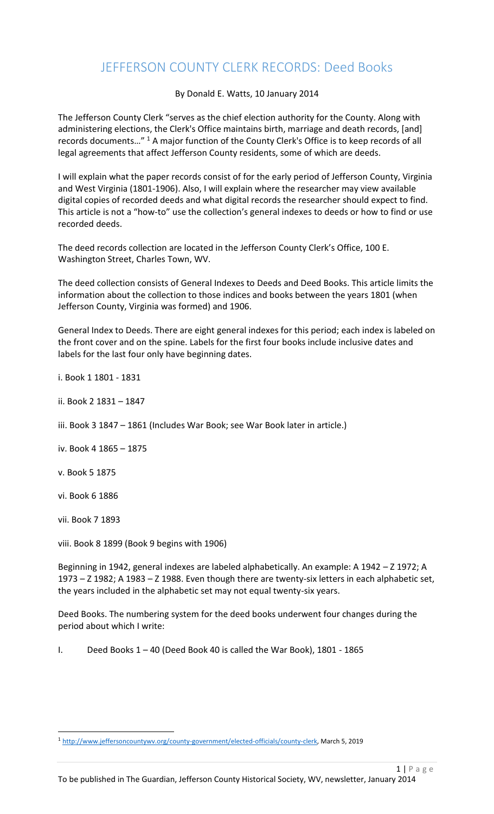## JEFFERSON COUNTY CLERK RECORDS: Deed Books

## By Donald E. Watts, 10 January 2014

The Jefferson County Clerk "serves as the chief election authority for the County. Along with administering elections, the Clerk's Office maintains birth, marriage and death records, [and] records documents…" <sup>1</sup> A major function of the County Clerk's Office is to keep records of all legal agreements that affect Jefferson County residents, some of which are deeds.

I will explain what the paper records consist of for the early period of Jefferson County, Virginia and West Virginia (1801-1906). Also, I will explain where the researcher may view available digital copies of recorded deeds and what digital records the researcher should expect to find. This article is not a "how-to" use the collection's general indexes to deeds or how to find or use recorded deeds.

The deed records collection are located in the Jefferson County Clerk's Office, 100 E. Washington Street, Charles Town, WV.

The deed collection consists of General Indexes to Deeds and Deed Books. This article limits the information about the collection to those indices and books between the years 1801 (when Jefferson County, Virginia was formed) and 1906.

General Index to Deeds. There are eight general indexes for this period; each index is labeled on the front cover and on the spine. Labels for the first four books include inclusive dates and labels for the last four only have beginning dates.

- i. Book 1 1801 1831
- ii. Book 2 1831 1847
- iii. Book 3 1847 1861 (Includes War Book; see War Book later in article.)
- iv. Book 4 1865 1875
- v. Book 5 1875
- vi. Book 6 1886
- vii. Book 7 1893

l

viii. Book 8 1899 (Book 9 begins with 1906)

Beginning in 1942, general indexes are labeled alphabetically. An example: A 1942 – Z 1972; A 1973 – Z 1982; A 1983 – Z 1988. Even though there are twenty-six letters in each alphabetic set, the years included in the alphabetic set may not equal twenty-six years.

Deed Books. The numbering system for the deed books underwent four changes during the period about which I write:

I. Deed Books  $1 - 40$  (Deed Book 40 is called the War Book), 1801 - 1865

<sup>1</sup> [http://www.jeffersoncountywv.org/county-government/elected-officials/county-clerk,](http://www.jeffersoncountywv.org/county-government/elected-officials/county-clerk) March 5, 2019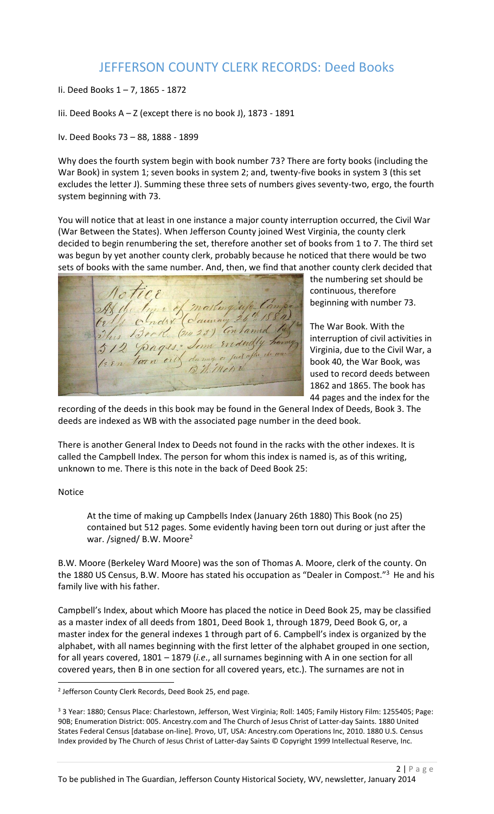## JEFFERSON COUNTY CLERK RECORDS: Deed Books

- Ii. Deed Books 1 7, 1865 1872
- Iii. Deed Books  $A Z$  (except there is no book J), 1873 1891
- Iv. Deed Books 73 88, 1888 1899

Why does the fourth system begin with book number 73? There are forty books (including the War Book) in system 1; seven books in system 2; and, twenty-five books in system 3 (this set excludes the letter J). Summing these three sets of numbers gives seventy-two, ergo, the fourth system beginning with 73.

You will notice that at least in one instance a major county interruption occurred, the Civil War (War Between the States). When Jefferson County joined West Virginia, the county clerk decided to begin renumbering the set, therefore another set of books from 1 to 7. The third set was begun by yet another county clerk, probably because he noticed that there would be two sets of books with the same number. And, then, we find that another county clerk decided that

 $\pi$ As the time of masting up Camp

the numbering set should be continuous, therefore beginning with number 73.

The War Book. With the interruption of civil activities in Virginia, due to the Civil War, a book 40, the War Book, was used to record deeds between 1862 and 1865. The book has 44 pages and the index for the

recording of the deeds in this book may be found in the General Index of Deeds, Book 3. The deeds are indexed as WB with the associated page number in the deed book.

There is another General Index to Deeds not found in the racks with the other indexes. It is called the Campbell Index. The person for whom this index is named is, as of this writing, unknown to me. There is this note in the back of Deed Book 25:

## Notice

 $\overline{\phantom{a}}$ 

At the time of making up Campbells Index (January 26th 1880) This Book (no 25) contained but 512 pages. Some evidently having been torn out during or just after the war. /signed/ B.W. Moore<sup>2</sup>

B.W. Moore (Berkeley Ward Moore) was the son of Thomas A. Moore, clerk of the county. On the 1880 US Census, B.W. Moore has stated his occupation as "Dealer in Compost."<sup>3</sup> He and his family live with his father.

Campbell's Index, about which Moore has placed the notice in Deed Book 25, may be classified as a master index of all deeds from 1801, Deed Book 1, through 1879, Deed Book G, or, a master index for the general indexes 1 through part of 6. Campbell's index is organized by the alphabet, with all names beginning with the first letter of the alphabet grouped in one section, for all years covered, 1801 – 1879 (*i.e*., all surnames beginning with A in one section for all covered years, then B in one section for all covered years, etc.). The surnames are not in

<sup>&</sup>lt;sup>2</sup> Jefferson County Clerk Records, Deed Book 25, end page.

<sup>&</sup>lt;sup>3</sup> 3 Year: 1880; Census Place: Charlestown, Jefferson, West Virginia; Roll: 1405; Family History Film: 1255405; Page: 90B; Enumeration District: 005. Ancestry.com and The Church of Jesus Christ of Latter-day Saints. 1880 United States Federal Census [database on-line]. Provo, UT, USA: Ancestry.com Operations Inc, 2010. 1880 U.S. Census Index provided by The Church of Jesus Christ of Latter-day Saints © Copyright 1999 Intellectual Reserve, Inc.